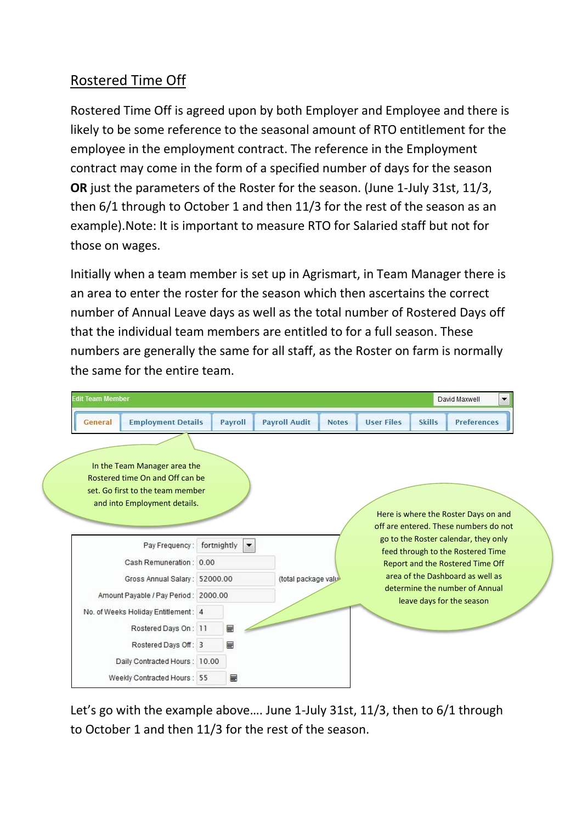## Rostered Time Off

Rostered Time Off is agreed upon by both Employer and Employee and there is likely to be some reference to the seasonal amount of RTO entitlement for the employee in the employment contract. The reference in the Employment contract may come in the form of a specified number of days for the season **OR** just the parameters of the Roster for the season. (June 1-July 31st, 11/3, then 6/1 through to October 1 and then 11/3 for the rest of the season as an example).Note: It is important to measure RTO for Salaried staff but not for those on wages.

Initially when a team member is set up in Agrismart, in Team Manager there is an area to enter the roster for the season which then ascertains the correct number of Annual Leave days as well as the total number of Rostered Days off that the individual team members are entitled to for a full season. These numbers are generally the same for all staff, as the Roster on farm is normally the same for the entire team.

| <b>Edit Team Member</b>                                                                                                             |             |                          |                       |              |                   |               | David Maxwell                                                                                                 |
|-------------------------------------------------------------------------------------------------------------------------------------|-------------|--------------------------|-----------------------|--------------|-------------------|---------------|---------------------------------------------------------------------------------------------------------------|
| <b>Employment Details</b><br>General                                                                                                |             | Payroll                  | <b>Payroll Audit</b>  | <b>Notes</b> | <b>User Files</b> | <b>Skills</b> | <b>Preferences</b>                                                                                            |
| In the Team Manager area the<br>Rostered time On and Off can be<br>set. Go first to the team member<br>and into Employment details. |             |                          |                       |              |                   |               | Here is where the Roster Days on and<br>off are entered. These numbers do not                                 |
| Pay Frequency:<br>Cash Remuneration: 0.00                                                                                           | fortnightly | $\overline{\phantom{a}}$ |                       |              |                   |               | go to the Roster calendar, they only<br>feed through to the Rostered Time<br>Report and the Rostered Time Off |
| Gross Annual Salary: 52000.00                                                                                                       |             |                          | (total package value) |              |                   |               | area of the Dashboard as well as                                                                              |
| Amount Payable / Pay Period: 2000.00                                                                                                |             |                          |                       |              |                   |               | determine the number of Annual<br>leave days for the season                                                   |
| No. of Weeks Holiday Entitlement: 4                                                                                                 |             |                          |                       |              |                   |               |                                                                                                               |
| Rostered Days On: 11                                                                                                                |             | 圖                        |                       |              |                   |               |                                                                                                               |
| Rostered Days Off: 3                                                                                                                |             | 匾                        |                       |              |                   |               |                                                                                                               |
| Daily Contracted Hours: 10.00                                                                                                       |             |                          |                       |              |                   |               |                                                                                                               |
| Weekly Contracted Hours: 55                                                                                                         |             | ⊞                        |                       |              |                   |               |                                                                                                               |

Let's go with the example above…. June 1-July 31st, 11/3, then to 6/1 through to October 1 and then 11/3 for the rest of the season.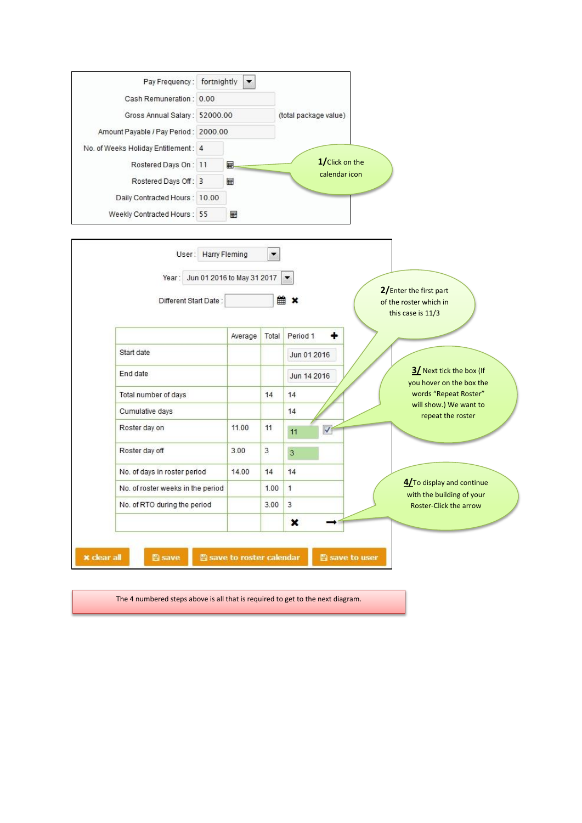| Pay Frequency:                        | fortnightly | $\overline{\phantom{a}}$   |       |                                                             |
|---------------------------------------|-------------|----------------------------|-------|-------------------------------------------------------------|
| Cash Remuneration: 0.00               |             |                            |       |                                                             |
| Gross Annual Salary: 52000.00         |             |                            |       | (total package value)                                       |
| Amount Payable / Pay Period : 2000.00 |             |                            |       |                                                             |
| No. of Weeks Holiday Entitlement: 4   |             |                            |       |                                                             |
| Rostered Days On: 11                  |             | 翩                          |       | 1/Click on the                                              |
| Rostered Days Off: 3                  |             | 畺                          |       | calendar icon                                               |
| Daily Contracted Hours : 10.00        |             |                            |       |                                                             |
| Weekly Contracted Hours: 55           |             | ⊞                          |       |                                                             |
| Year:                                 |             | Jun 01 2016 to May 31 2017 |       | 2/Enter the first part                                      |
| Different Start Date:                 |             |                            | 雦     | ×<br>of the roster which in<br>this case is 11/3            |
|                                       |             | Average                    | Total | ٠<br>Period 1                                               |
| Start date                            |             |                            |       | Jun 01 2016                                                 |
| End date                              |             |                            |       | 3/ Next tick the box (If<br>Jun 14 2016                     |
| Total number of days                  |             |                            | 14    | you hover on the box the<br>words "Repeat Roster"<br>14     |
| Cumulative days                       |             |                            |       | will show.) We want to<br>14                                |
| Roster day on                         |             | 11.00                      | 11    | repeat the roster<br>$\blacktriangledown$<br>11             |
|                                       |             |                            |       |                                                             |
| Roster day off                        |             | 3.00                       | 3     | 3                                                           |
| No. of days in roster period          |             | 14.00                      | 14    | 14                                                          |
| No. of roster weeks in the period     |             |                            | 1.00  | 4/To display and continue<br>1<br>with the building of your |
|                                       |             |                            | 3.00  | 3<br>Roster-Click the arrow                                 |
| No. of RTO during the period          |             |                            |       |                                                             |
|                                       |             |                            |       | ×                                                           |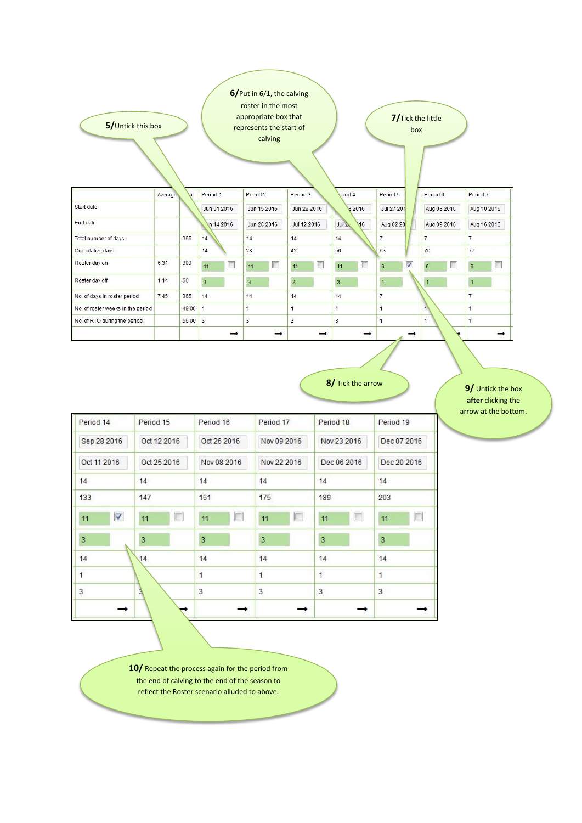| 5/Untick this box                 |         |            |                | 6/Put in 6/1, the calving<br>roster in the most<br>appropriate box that<br>represents the start of<br>calving |                |                        | 7/Tick the little<br>box     |                  |                     |
|-----------------------------------|---------|------------|----------------|---------------------------------------------------------------------------------------------------------------|----------------|------------------------|------------------------------|------------------|---------------------|
|                                   | Average | <b>tal</b> | Period 1       | Period 2                                                                                                      | Period 3       | eriod 4                | Period 5                     | Period 6         | Period 7            |
| Start date                        |         |            | Jun 01 2016    | Jun 15 2016                                                                                                   | Jun 29 2016    | 3 2016                 | Jul 27 201                   | Aug 03 2016      | Aug 10 2016         |
| End date                          |         |            | Vn 14 2016     | Jun 28 2016                                                                                                   | Jul 12 2016    | Jul <sup>2</sup><br>16 | Aug 02 20                    | Aug 09 2016      | Aug 16 2016         |
| Total number of days              |         | 365        | 14             | 14                                                                                                            | 14             | 14                     | $\overline{7}$               | $\overline{7}$   | $\overline{7}$      |
| Cumulative days                   |         |            | 14             | 28                                                                                                            | 42             | 56                     | 63                           | 70               | 77                  |
| Roster day on                     | 6.31    | 309        | F<br>11        | $\Box$<br>11                                                                                                  | F<br>11        | O<br>11                | $\overline{\mathsf{v}}$<br>6 | $\boldsymbol{6}$ | E<br>$6\phantom{1}$ |
| Roster day off                    | 1.14    | 56         | $\overline{3}$ | $\overline{3}$                                                                                                | $\overline{3}$ | $\overline{3}$         | $\overline{1}$               | 1                | $\mathbf{1}$        |
| No. of days in roster period      | 7.45    | 365        | 14             | 14                                                                                                            | 14             | 14                     | $\overline{7}$               |                  | $\overline{7}$      |
| No. of roster weeks in the period |         | 49.00      | $\vert$        | $\overline{1}$                                                                                                | $\mathbf{1}$   | $\mathbf{1}$           | $\overline{1}$               | $\left  \right $ | $\overline{1}$      |
| No. of RTO during the period      |         | $56.00$ 3  |                | 3                                                                                                             | 3              | 3                      | $\mathbf{1}$                 | $\mathbf{1}$     | 1                   |

**8/** Tick the arrow **9/** Untick the box

**after** clicking the arrow at the bottom.

| Period 14          | Period 15   | Period 16   | Period 17      | Period 18      | Period 19      |
|--------------------|-------------|-------------|----------------|----------------|----------------|
| Sep 28 2016        | Oct 12 2016 | Oct 26 2016 | Nov 09 2016    | Nov 23 2016    | Dec 07 2016    |
| Oct 11 2016        | Oct 25 2016 | Nov 08 2016 | Nov 22 2016    | Dec 06 2016    | Dec 20 2016    |
| 14                 | 14          | 14          | 14             | 14             | 14             |
| 133                | 147         | 161         | 175            | 189            | 203            |
| $\checkmark$<br>11 | 11<br>B     | 11<br>L     | E<br>11        | 11<br>E.       | 11<br>I.       |
| $\overline{3}$     | 3           | 3           | 3              | 3              | $\overline{3}$ |
| 14                 | 14          | 14          | 14             | 14             | 14             |
| $\mathbf{1}$       |             | 1           | $\overline{1}$ | $\overline{1}$ | $\mathbf{1}$   |
| 3                  | Ĵ           | 3           | 3              | 3              | 3              |
|                    |             |             |                |                |                |

**10/** Repeat the process again for the period from the end of calving to the end of the season to reflect the Roster scenario alluded to above.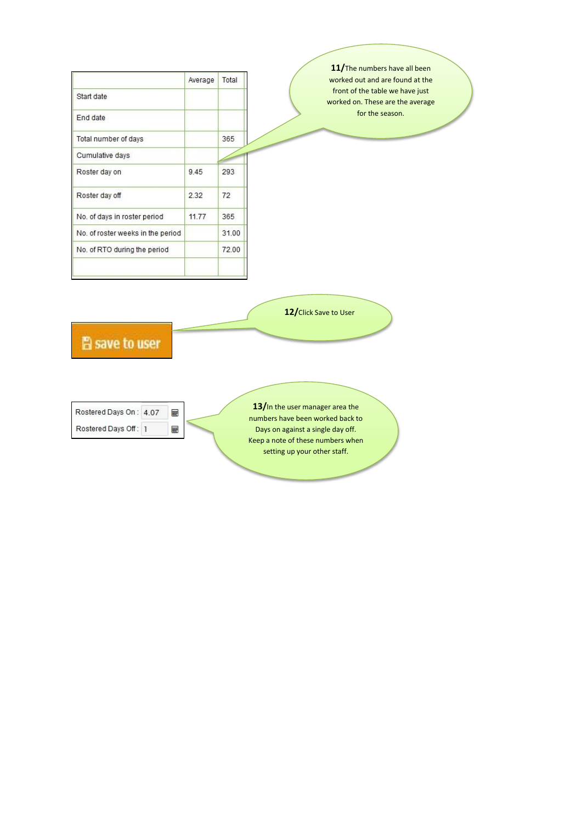|                                   | Average | Total | 11/The numbers have all been<br>worked out and are found at the     |
|-----------------------------------|---------|-------|---------------------------------------------------------------------|
| Start date                        |         |       | front of the table we have just<br>worked on. These are the average |
| End date                          |         |       | for the season.                                                     |
| Total number of days              |         | 365   |                                                                     |
| Cumulative days                   |         |       |                                                                     |
| Roster day on                     | 9.45    | 293   |                                                                     |
| Roster day off                    | 2.32    | 72    |                                                                     |
| No. of days in roster period      | 11.77   | 365   |                                                                     |
| No. of roster weeks in the period |         | 31.00 |                                                                     |
| No. of RTO during the period      |         | 72.00 |                                                                     |
|                                   |         |       |                                                                     |
| <b>A</b> save to user             |         |       | 12/Click Save to User<br>13/In the user manager area the            |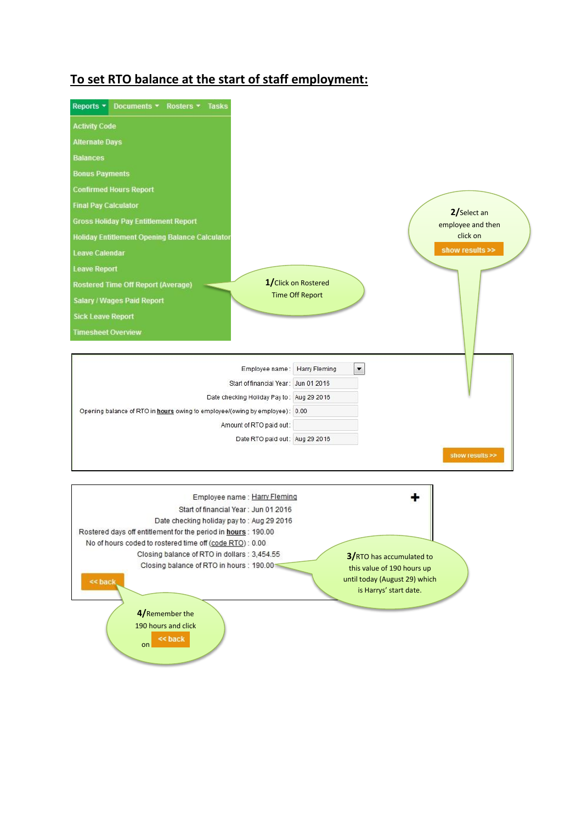## **To set RTO balance at the start of staff employment:**